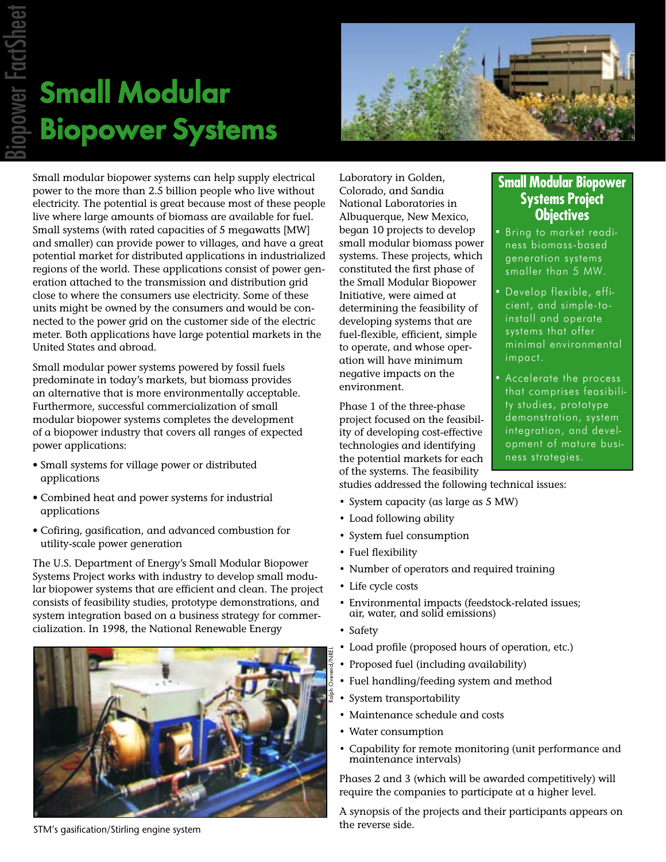# Small Modular Biopower Systems



Small modular biopower systems can help supply electrical power to the more than 2.5 billion people who live without electricity. The potential is great because most of these people live where large amounts of biomass are available for fuel. Small systems (with rated capacities of 5 megawatts [MW] and smaller) can provide power to villages, and have a great potential market for distributed applications in industrialized regions of the world. These applications consist of power generation attached to the transmission and distribution grid close to where the consumers use electricity. Some of these units might be owned by the consumers and would be connected to the power grid on the customer side of the electric meter. Both applications have large potential markets in the United States and abroad.

Small modular power systems powered by fossil fuels predominate in today's markets, but biomass provides an alternative that is more environmentally acceptable. Furthermore, successful commercialization of small modular biopower systems completes the development of a biopower industry that covers all ranges of expected power applications:

- Small systems for village power or distributed applications
- Combined heat and power systems for industrial applications
- Cofiring, gasification, and advanced combustion for utility-scale power generation

The U.S. Department of Energy's Small Modular Biopower Systems Project works with industry to develop small modular biopower systems that are efficient and clean. The project consists of feasibility studies, prototype demonstrations, and system integration based on a business strategy for commercialization. In 1998, the National Renewable Energy



Laboratory in Golden, Colorado, and Sandia National Laboratories in Albuquerque, New Mexico, began 10 projects to develop small modular biomass power systems. These projects, which constituted the first phase of the Small Modular Biopower Initiative, were aimed at determining the feasibility of developing systems that are fuel-flexible, efficient, simple to operate, and whose operation will have minimum negative impacts on the environment.

Phase 1 of the three-phase project focused on the feasibility of developing cost-effective technologies and identifying the potential markets for each of the systems. The feasibility

studies addressed the following technical issues:

- System capacity (as large as 5 MW)
- Load following ability
- System fuel consumption
- Fuel flexibility
- Number of operators and required training
- Life cycle costs
- Environmental impacts (feedstock-related issues; air, water, and solid emissions)
- Safety
- Load profile (proposed hours of operation, etc.)
- Proposed fuel (including availability)
- Fuel handling/feeding system and method
- System transportability
- Maintenance schedule and costs
- Water consumption
- Capability for remote monitoring (unit performance and maintenance intervals)

Phases 2 and 3 (which will be awarded competitively) will require the companies to participate at a higher level.

A synopsis of the projects and their participants appears on

#### **Small Modular Biopower Systems Project Objectives**

• Bring to market readiness biomass-based generation systems smaller than 5 MW.

- Develop flexible, efficient, and simple-toinstall and operate systems that offer minimal environmental impact.
- Accelerate the process that comprises feasibility studies, prototype demonstration, system integration, and development of mature business strategies.